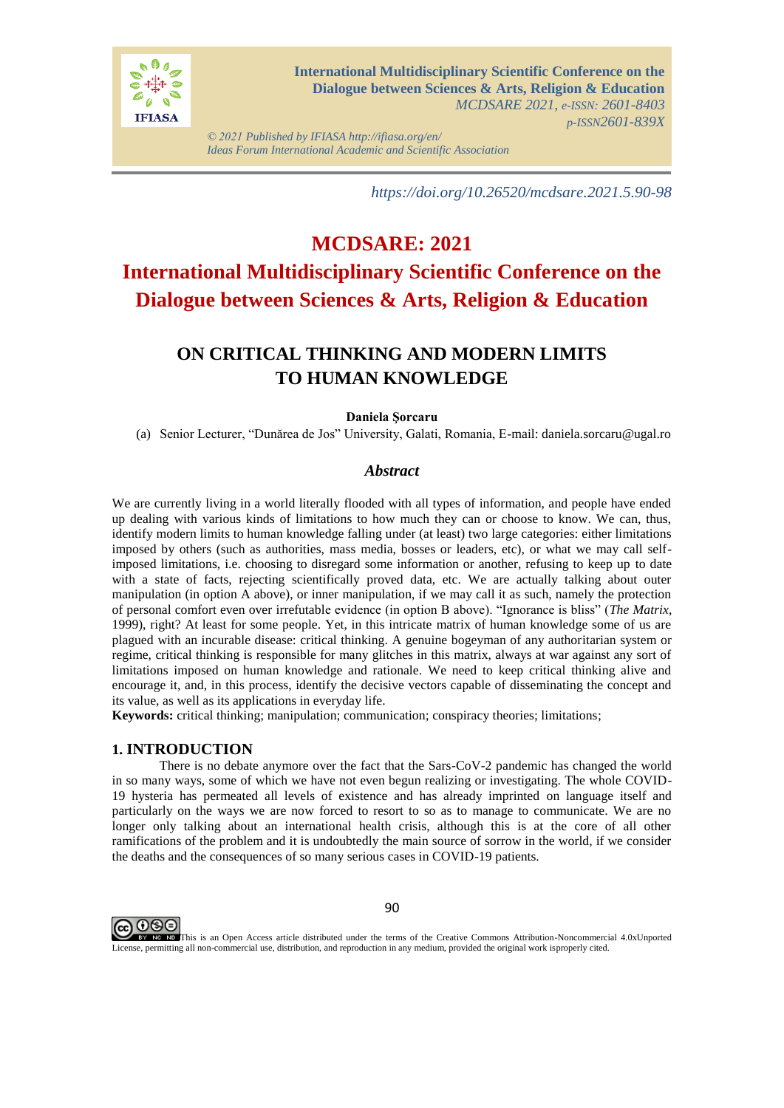

*© 2021 Published by IFIASA http://ifiasa.org/en/ Ideas Forum International Academic and Scientific Association*

*https://doi.org/10.26520/mcdsare.2021.5.90-98*

# **MCDSARE: 2021 International Multidisciplinary Scientific Conference on the Dialogue between Sciences & Arts, Religion & Education**

## **ON CRITICAL THINKING AND MODERN LIMITS TO HUMAN KNOWLEDGE**

#### **Daniela Şorcaru**

(a) Senior Lecturer, "Dunărea de Jos" University, Galati, Romania, E-mail: daniela.sorcaru@ugal.ro

### *Abstract*

We are currently living in a world literally flooded with all types of information, and people have ended up dealing with various kinds of limitations to how much they can or choose to know. We can, thus, identify modern limits to human knowledge falling under (at least) two large categories: either limitations imposed by others (such as authorities, mass media, bosses or leaders, etc), or what we may call selfimposed limitations, i.e. choosing to disregard some information or another, refusing to keep up to date with a state of facts, rejecting scientifically proved data, etc. We are actually talking about outer manipulation (in option A above), or inner manipulation, if we may call it as such, namely the protection of personal comfort even over irrefutable evidence (in option B above). "Ignorance is bliss" (*The Matrix*, 1999), right? At least for some people. Yet, in this intricate matrix of human knowledge some of us are plagued with an incurable disease: critical thinking. A genuine bogeyman of any authoritarian system or regime, critical thinking is responsible for many glitches in this matrix, always at war against any sort of limitations imposed on human knowledge and rationale. We need to keep critical thinking alive and encourage it, and, in this process, identify the decisive vectors capable of disseminating the concept and its value, as well as its applications in everyday life.

**Keywords:** critical thinking; manipulation; communication; conspiracy theories; limitations;

#### **1. INTRODUCTION**

There is no debate anymore over the fact that the Sars-CoV-2 pandemic has changed the world in so many ways, some of which we have not even begun realizing or investigating. The whole COVID-19 hysteria has permeated all levels of existence and has already imprinted on language itself and particularly on the ways we are now forced to resort to so as to manage to communicate. We are no longer only talking about an international health crisis, although this is at the core of all other ramifications of the problem and it is undoubtedly the main source of sorrow in the world, if we consider the deaths and the consequences of so many serious cases in COVID-19 patients.



90

EV NO This is an Open Access article distributed under the terms of the Creative Commons Attribution-Noncommercial 4.0xUnported License, permitting all non-commercial use, distribution, and reproduction in any medium, provided the original work isproperly cited.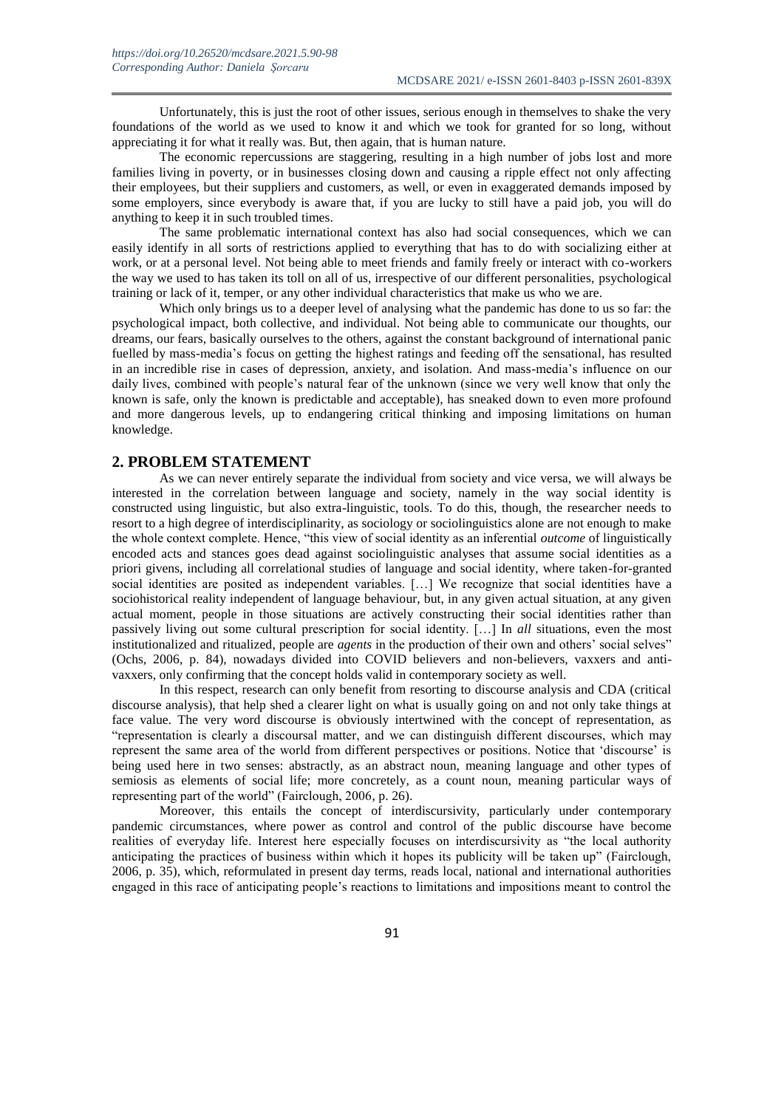Unfortunately, this is just the root of other issues, serious enough in themselves to shake the very foundations of the world as we used to know it and which we took for granted for so long, without appreciating it for what it really was. But, then again, that is human nature.

The economic repercussions are staggering, resulting in a high number of jobs lost and more families living in poverty, or in businesses closing down and causing a ripple effect not only affecting their employees, but their suppliers and customers, as well, or even in exaggerated demands imposed by some employers, since everybody is aware that, if you are lucky to still have a paid job, you will do anything to keep it in such troubled times.

The same problematic international context has also had social consequences, which we can easily identify in all sorts of restrictions applied to everything that has to do with socializing either at work, or at a personal level. Not being able to meet friends and family freely or interact with co-workers the way we used to has taken its toll on all of us, irrespective of our different personalities, psychological training or lack of it, temper, or any other individual characteristics that make us who we are.

Which only brings us to a deeper level of analysing what the pandemic has done to us so far: the psychological impact, both collective, and individual. Not being able to communicate our thoughts, our dreams, our fears, basically ourselves to the others, against the constant background of international panic fuelled by mass-media's focus on getting the highest ratings and feeding off the sensational, has resulted in an incredible rise in cases of depression, anxiety, and isolation. And mass-media's influence on our daily lives, combined with people's natural fear of the unknown (since we very well know that only the known is safe, only the known is predictable and acceptable), has sneaked down to even more profound and more dangerous levels, up to endangering critical thinking and imposing limitations on human knowledge.

#### **2. PROBLEM STATEMENT**

As we can never entirely separate the individual from society and vice versa, we will always be interested in the correlation between language and society, namely in the way social identity is constructed using linguistic, but also extra-linguistic, tools. To do this, though, the researcher needs to resort to a high degree of interdisciplinarity, as sociology or sociolinguistics alone are not enough to make the whole context complete. Hence, "this view of social identity as an inferential *outcome* of linguistically encoded acts and stances goes dead against sociolinguistic analyses that assume social identities as a priori givens, including all correlational studies of language and social identity, where taken-for-granted social identities are posited as independent variables. […] We recognize that social identities have a sociohistorical reality independent of language behaviour, but, in any given actual situation, at any given actual moment, people in those situations are actively constructing their social identities rather than passively living out some cultural prescription for social identity. […] In *all* situations, even the most institutionalized and ritualized, people are *agents* in the production of their own and others' social selves" (Ochs, 2006, p. 84), nowadays divided into COVID believers and non-believers, vaxxers and antivaxxers, only confirming that the concept holds valid in contemporary society as well.

In this respect, research can only benefit from resorting to discourse analysis and CDA (critical discourse analysis), that help shed a clearer light on what is usually going on and not only take things at face value. The very word discourse is obviously intertwined with the concept of representation, as "representation is clearly a discoursal matter, and we can distinguish different discourses, which may represent the same area of the world from different perspectives or positions. Notice that 'discourse' is being used here in two senses: abstractly, as an abstract noun, meaning language and other types of semiosis as elements of social life; more concretely, as a count noun, meaning particular ways of representing part of the world" (Fairclough, 2006, p. 26).

Moreover, this entails the concept of interdiscursivity, particularly under contemporary pandemic circumstances, where power as control and control of the public discourse have become realities of everyday life. Interest here especially focuses on interdiscursivity as "the local authority anticipating the practices of business within which it hopes its publicity will be taken up" (Fairclough, 2006, p. 35), which, reformulated in present day terms, reads local, national and international authorities engaged in this race of anticipating people's reactions to limitations and impositions meant to control the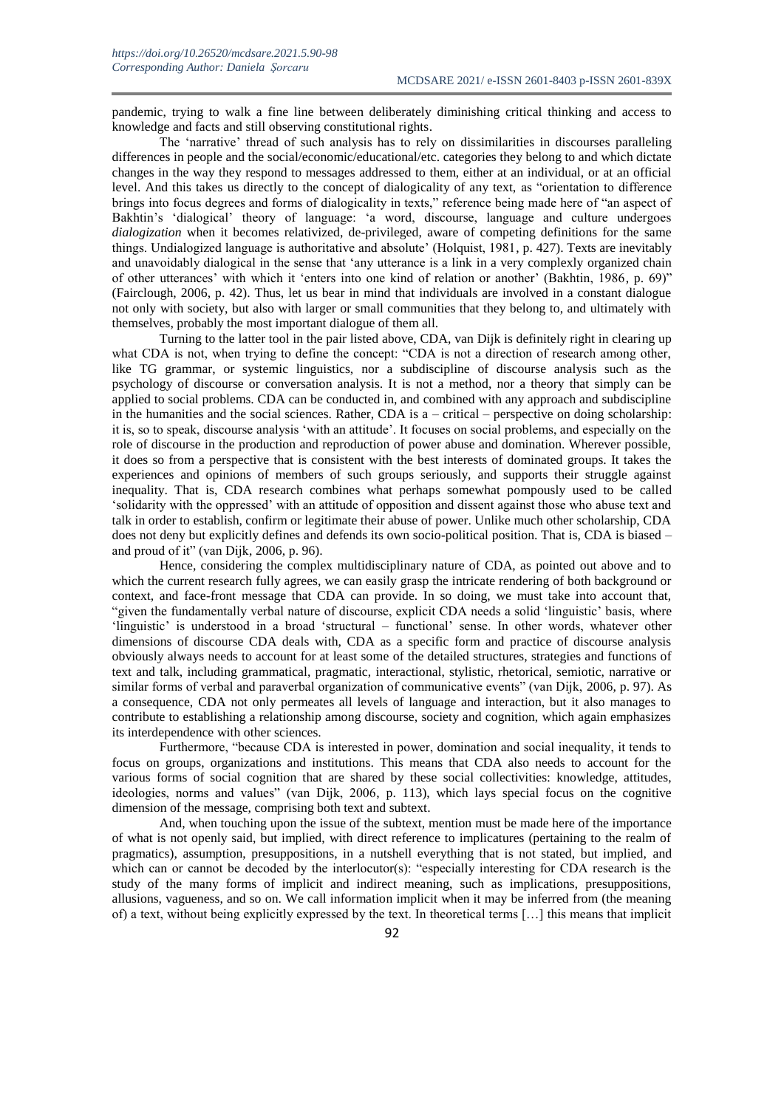pandemic, trying to walk a fine line between deliberately diminishing critical thinking and access to knowledge and facts and still observing constitutional rights.

The 'narrative' thread of such analysis has to rely on dissimilarities in discourses paralleling differences in people and the social/economic/educational/etc. categories they belong to and which dictate changes in the way they respond to messages addressed to them, either at an individual, or at an official level. And this takes us directly to the concept of dialogicality of any text, as "orientation to difference brings into focus degrees and forms of dialogicality in texts," reference being made here of "an aspect of Bakhtin's 'dialogical' theory of language: 'a word, discourse, language and culture undergoes *dialogization* when it becomes relativized, de-privileged, aware of competing definitions for the same things. Undialogized language is authoritative and absolute' (Holquist, 1981, p. 427). Texts are inevitably and unavoidably dialogical in the sense that 'any utterance is a link in a very complexly organized chain of other utterances' with which it 'enters into one kind of relation or another' (Bakhtin, 1986, p. 69)" (Fairclough, 2006, p. 42). Thus, let us bear in mind that individuals are involved in a constant dialogue not only with society, but also with larger or small communities that they belong to, and ultimately with themselves, probably the most important dialogue of them all.

Turning to the latter tool in the pair listed above, CDA, van Dijk is definitely right in clearing up what CDA is not, when trying to define the concept: "CDA is not a direction of research among other, like TG grammar, or systemic linguistics, nor a subdiscipline of discourse analysis such as the psychology of discourse or conversation analysis. It is not a method, nor a theory that simply can be applied to social problems. CDA can be conducted in, and combined with any approach and subdiscipline in the humanities and the social sciences. Rather, CDA is  $a$  – critical – perspective on doing scholarship: it is, so to speak, discourse analysis 'with an attitude'. It focuses on social problems, and especially on the role of discourse in the production and reproduction of power abuse and domination. Wherever possible, it does so from a perspective that is consistent with the best interests of dominated groups. It takes the experiences and opinions of members of such groups seriously, and supports their struggle against inequality. That is, CDA research combines what perhaps somewhat pompously used to be called 'solidarity with the oppressed' with an attitude of opposition and dissent against those who abuse text and talk in order to establish, confirm or legitimate their abuse of power. Unlike much other scholarship, CDA does not deny but explicitly defines and defends its own socio-political position. That is, CDA is biased – and proud of it" (van Dijk, 2006, p. 96).

Hence, considering the complex multidisciplinary nature of CDA, as pointed out above and to which the current research fully agrees, we can easily grasp the intricate rendering of both background or context, and face-front message that CDA can provide. In so doing, we must take into account that, "given the fundamentally verbal nature of discourse, explicit CDA needs a solid 'linguistic' basis, where 'linguistic' is understood in a broad 'structural – functional' sense. In other words, whatever other dimensions of discourse CDA deals with, CDA as a specific form and practice of discourse analysis obviously always needs to account for at least some of the detailed structures, strategies and functions of text and talk, including grammatical, pragmatic, interactional, stylistic, rhetorical, semiotic, narrative or similar forms of verbal and paraverbal organization of communicative events" (van Dijk, 2006, p. 97). As a consequence, CDA not only permeates all levels of language and interaction, but it also manages to contribute to establishing a relationship among discourse, society and cognition, which again emphasizes its interdependence with other sciences.

Furthermore, "because CDA is interested in power, domination and social inequality, it tends to focus on groups, organizations and institutions. This means that CDA also needs to account for the various forms of social cognition that are shared by these social collectivities: knowledge, attitudes, ideologies, norms and values" (van Dijk, 2006, p. 113), which lays special focus on the cognitive dimension of the message, comprising both text and subtext.

And, when touching upon the issue of the subtext, mention must be made here of the importance of what is not openly said, but implied, with direct reference to implicatures (pertaining to the realm of pragmatics), assumption, presuppositions, in a nutshell everything that is not stated, but implied, and which can or cannot be decoded by the interlocutor(s): "especially interesting for CDA research is the study of the many forms of implicit and indirect meaning, such as implications, presuppositions, allusions, vagueness, and so on. We call information implicit when it may be inferred from (the meaning of) a text, without being explicitly expressed by the text. In theoretical terms […] this means that implicit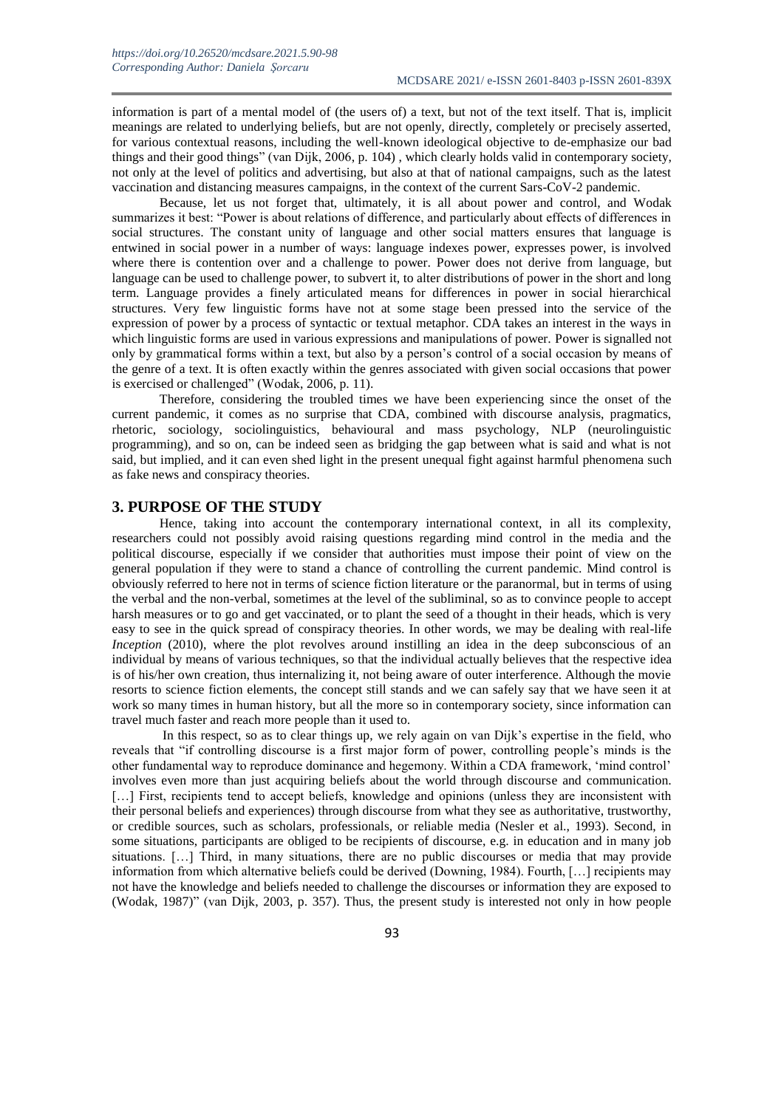information is part of a mental model of (the users of) a text, but not of the text itself. That is, implicit meanings are related to underlying beliefs, but are not openly, directly, completely or precisely asserted, for various contextual reasons, including the well-known ideological objective to de-emphasize our bad things and their good things" (van Dijk, 2006, p. 104) , which clearly holds valid in contemporary society, not only at the level of politics and advertising, but also at that of national campaigns, such as the latest vaccination and distancing measures campaigns, in the context of the current Sars-CoV-2 pandemic.

Because, let us not forget that, ultimately, it is all about power and control, and Wodak summarizes it best: "Power is about relations of difference, and particularly about effects of differences in social structures. The constant unity of language and other social matters ensures that language is entwined in social power in a number of ways: language indexes power, expresses power, is involved where there is contention over and a challenge to power. Power does not derive from language, but language can be used to challenge power, to subvert it, to alter distributions of power in the short and long term. Language provides a finely articulated means for differences in power in social hierarchical structures. Very few linguistic forms have not at some stage been pressed into the service of the expression of power by a process of syntactic or textual metaphor. CDA takes an interest in the ways in which linguistic forms are used in various expressions and manipulations of power. Power is signalled not only by grammatical forms within a text, but also by a person's control of a social occasion by means of the genre of a text. It is often exactly within the genres associated with given social occasions that power is exercised or challenged" (Wodak, 2006, p. 11).

Therefore, considering the troubled times we have been experiencing since the onset of the current pandemic, it comes as no surprise that CDA, combined with discourse analysis, pragmatics, rhetoric, sociology, sociolinguistics, behavioural and mass psychology, NLP (neurolinguistic programming), and so on, can be indeed seen as bridging the gap between what is said and what is not said, but implied, and it can even shed light in the present unequal fight against harmful phenomena such as fake news and conspiracy theories.

#### **3. PURPOSE OF THE STUDY**

Hence, taking into account the contemporary international context, in all its complexity, researchers could not possibly avoid raising questions regarding mind control in the media and the political discourse, especially if we consider that authorities must impose their point of view on the general population if they were to stand a chance of controlling the current pandemic. Mind control is obviously referred to here not in terms of science fiction literature or the paranormal, but in terms of using the verbal and the non-verbal, sometimes at the level of the subliminal, so as to convince people to accept harsh measures or to go and get vaccinated, or to plant the seed of a thought in their heads, which is very easy to see in the quick spread of conspiracy theories. In other words, we may be dealing with real-life *Inception* (2010), where the plot revolves around instilling an idea in the deep subconscious of an individual by means of various techniques, so that the individual actually believes that the respective idea is of his/her own creation, thus internalizing it, not being aware of outer interference. Although the movie resorts to science fiction elements, the concept still stands and we can safely say that we have seen it at work so many times in human history, but all the more so in contemporary society, since information can travel much faster and reach more people than it used to.

In this respect, so as to clear things up, we rely again on van Dijk's expertise in the field, who reveals that "if controlling discourse is a first major form of power, controlling people's minds is the other fundamental way to reproduce dominance and hegemony. Within a CDA framework, 'mind control' involves even more than just acquiring beliefs about the world through discourse and communication. [...] First, recipients tend to accept beliefs, knowledge and opinions (unless they are inconsistent with their personal beliefs and experiences) through discourse from what they see as authoritative, trustworthy, or credible sources, such as scholars, professionals, or reliable media (Nesler et al., 1993). Second, in some situations, participants are obliged to be recipients of discourse, e.g. in education and in many job situations. […] Third, in many situations, there are no public discourses or media that may provide information from which alternative beliefs could be derived (Downing, 1984). Fourth, […] recipients may not have the knowledge and beliefs needed to challenge the discourses or information they are exposed to (Wodak, 1987)" (van Dijk, 2003, p. 357). Thus, the present study is interested not only in how people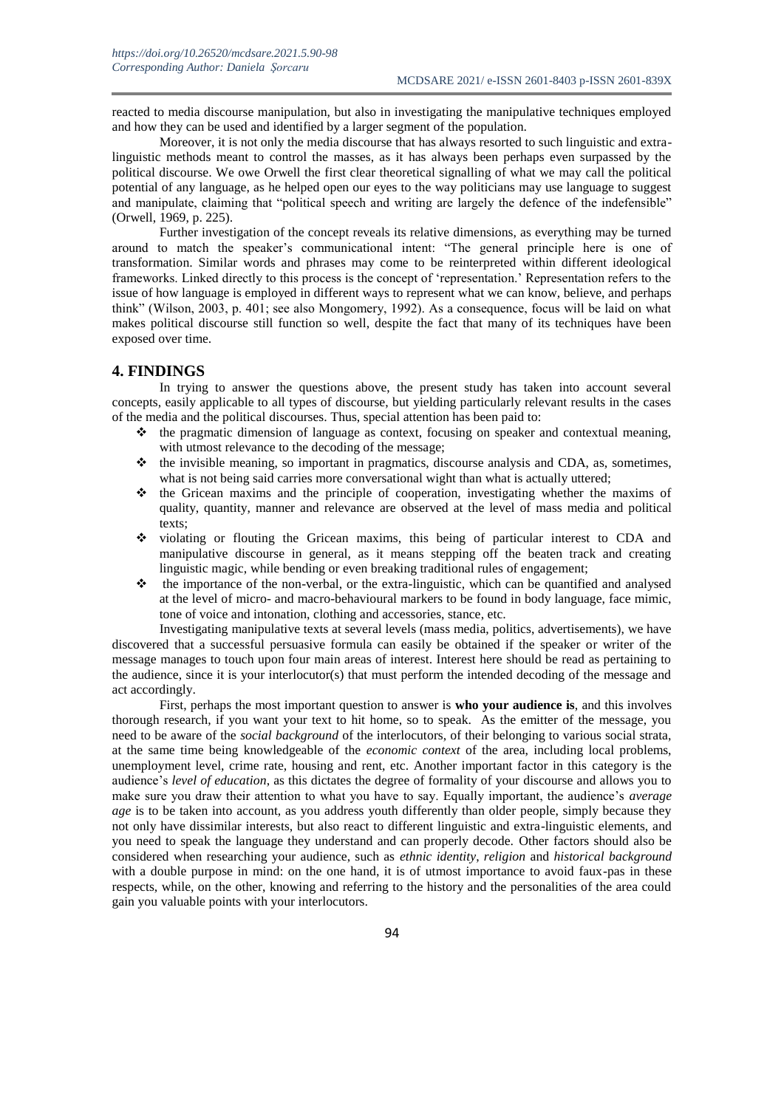reacted to media discourse manipulation, but also in investigating the manipulative techniques employed and how they can be used and identified by a larger segment of the population.

Moreover, it is not only the media discourse that has always resorted to such linguistic and extralinguistic methods meant to control the masses, as it has always been perhaps even surpassed by the political discourse. We owe Orwell the first clear theoretical signalling of what we may call the political potential of any language, as he helped open our eyes to the way politicians may use language to suggest and manipulate, claiming that "political speech and writing are largely the defence of the indefensible" (Orwell, 1969, p. 225).

Further investigation of the concept reveals its relative dimensions, as everything may be turned around to match the speaker's communicational intent: "The general principle here is one of transformation. Similar words and phrases may come to be reinterpreted within different ideological frameworks. Linked directly to this process is the concept of 'representation.' Representation refers to the issue of how language is employed in different ways to represent what we can know, believe, and perhaps think" (Wilson, 2003, p. 401; see also Mongomery, 1992). As a consequence, focus will be laid on what makes political discourse still function so well, despite the fact that many of its techniques have been exposed over time.

#### **4. FINDINGS**

In trying to answer the questions above, the present study has taken into account several concepts, easily applicable to all types of discourse, but yielding particularly relevant results in the cases of the media and the political discourses. Thus, special attention has been paid to:

- $\cdot \cdot$  the pragmatic dimension of language as context, focusing on speaker and contextual meaning, with utmost relevance to the decoding of the message;
- $\div$  the invisible meaning, so important in pragmatics, discourse analysis and CDA, as, sometimes, what is not being said carries more conversational wight than what is actually uttered;
- $\cdot \cdot$  the Gricean maxims and the principle of cooperation, investigating whether the maxims of quality, quantity, manner and relevance are observed at the level of mass media and political texts;
- violating or flouting the Gricean maxims, this being of particular interest to CDA and manipulative discourse in general, as it means stepping off the beaten track and creating linguistic magic, while bending or even breaking traditional rules of engagement;
- $\bullet$  the importance of the non-verbal, or the extra-linguistic, which can be quantified and analysed at the level of micro- and macro-behavioural markers to be found in body language, face mimic, tone of voice and intonation, clothing and accessories, stance, etc.

Investigating manipulative texts at several levels (mass media, politics, advertisements), we have discovered that a successful persuasive formula can easily be obtained if the speaker or writer of the message manages to touch upon four main areas of interest. Interest here should be read as pertaining to the audience, since it is your interlocutor(s) that must perform the intended decoding of the message and act accordingly.

First, perhaps the most important question to answer is **who your audience is**, and this involves thorough research, if you want your text to hit home, so to speak. As the emitter of the message, you need to be aware of the *social background* of the interlocutors, of their belonging to various social strata, at the same time being knowledgeable of the *economic context* of the area, including local problems, unemployment level, crime rate, housing and rent, etc. Another important factor in this category is the audience's *level of education*, as this dictates the degree of formality of your discourse and allows you to make sure you draw their attention to what you have to say. Equally important, the audience's *average age* is to be taken into account, as you address youth differently than older people, simply because they not only have dissimilar interests, but also react to different linguistic and extra-linguistic elements, and you need to speak the language they understand and can properly decode. Other factors should also be considered when researching your audience, such as *ethnic identity*, *religion* and *historical background* with a double purpose in mind: on the one hand, it is of utmost importance to avoid faux-pas in these respects, while, on the other, knowing and referring to the history and the personalities of the area could gain you valuable points with your interlocutors.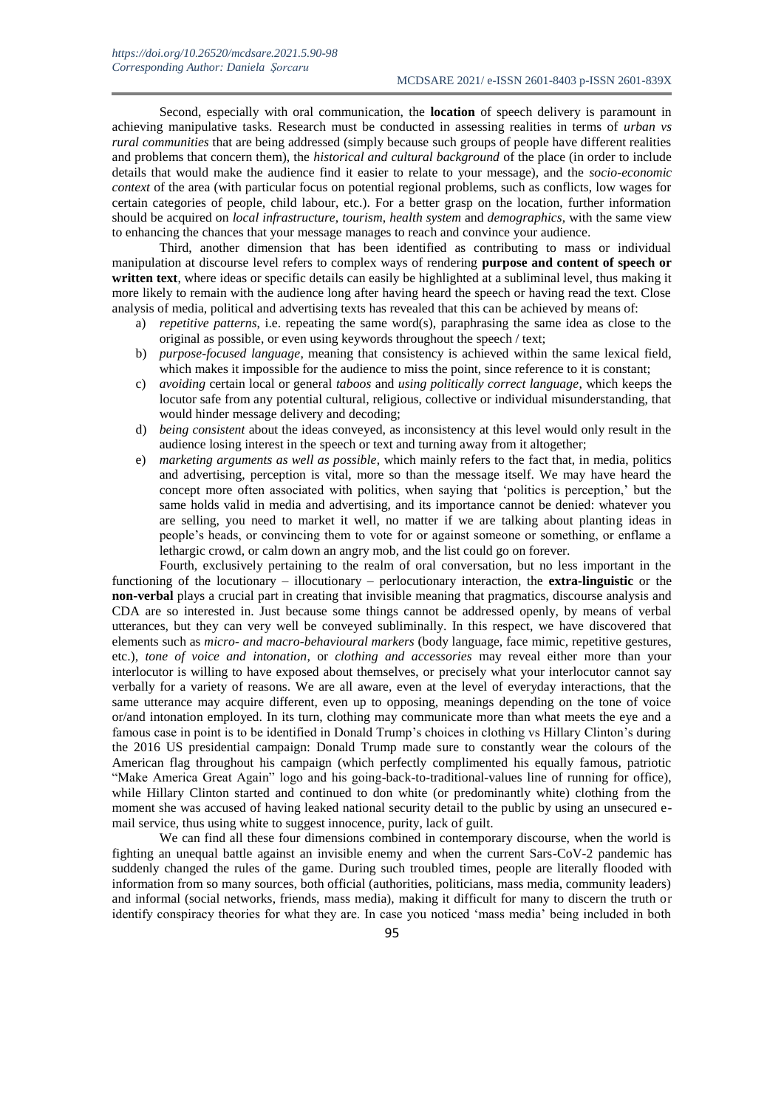Second, especially with oral communication, the **location** of speech delivery is paramount in achieving manipulative tasks. Research must be conducted in assessing realities in terms of *urban vs rural communities* that are being addressed (simply because such groups of people have different realities and problems that concern them), the *historical and cultural background* of the place (in order to include details that would make the audience find it easier to relate to your message), and the *socio-economic context* of the area (with particular focus on potential regional problems, such as conflicts, low wages for certain categories of people, child labour, etc.). For a better grasp on the location, further information should be acquired on *local infrastructure*, *tourism*, *health system* and *demographics*, with the same view to enhancing the chances that your message manages to reach and convince your audience.

Third, another dimension that has been identified as contributing to mass or individual manipulation at discourse level refers to complex ways of rendering **purpose and content of speech or written text**, where ideas or specific details can easily be highlighted at a subliminal level, thus making it more likely to remain with the audience long after having heard the speech or having read the text. Close analysis of media, political and advertising texts has revealed that this can be achieved by means of:

- a) *repetitive patterns*, i.e. repeating the same word(s), paraphrasing the same idea as close to the original as possible, or even using keywords throughout the speech / text;
- b) *purpose-focused language*, meaning that consistency is achieved within the same lexical field, which makes it impossible for the audience to miss the point, since reference to it is constant;
- c) *avoiding* certain local or general *taboos* and *using politically correct language*, which keeps the locutor safe from any potential cultural, religious, collective or individual misunderstanding, that would hinder message delivery and decoding;
- d) *being consistent* about the ideas conveyed, as inconsistency at this level would only result in the audience losing interest in the speech or text and turning away from it altogether;
- e) *marketing arguments as well as possible*, which mainly refers to the fact that, in media, politics and advertising, perception is vital, more so than the message itself. We may have heard the concept more often associated with politics, when saying that 'politics is perception,' but the same holds valid in media and advertising, and its importance cannot be denied: whatever you are selling, you need to market it well, no matter if we are talking about planting ideas in people's heads, or convincing them to vote for or against someone or something, or enflame a lethargic crowd, or calm down an angry mob, and the list could go on forever.

Fourth, exclusively pertaining to the realm of oral conversation, but no less important in the functioning of the locutionary – illocutionary – perlocutionary interaction, the **extra-linguistic** or the **non-verbal** plays a crucial part in creating that invisible meaning that pragmatics, discourse analysis and CDA are so interested in. Just because some things cannot be addressed openly, by means of verbal utterances, but they can very well be conveyed subliminally. In this respect, we have discovered that elements such as *micro- and macro-behavioural markers* (body language, face mimic, repetitive gestures, etc.), *tone of voice and intonation*, or *clothing and accessories* may reveal either more than your interlocutor is willing to have exposed about themselves, or precisely what your interlocutor cannot say verbally for a variety of reasons. We are all aware, even at the level of everyday interactions, that the same utterance may acquire different, even up to opposing, meanings depending on the tone of voice or/and intonation employed. In its turn, clothing may communicate more than what meets the eye and a famous case in point is to be identified in Donald Trump's choices in clothing vs Hillary Clinton's during the 2016 US presidential campaign: Donald Trump made sure to constantly wear the colours of the American flag throughout his campaign (which perfectly complimented his equally famous, patriotic "Make America Great Again" logo and his going-back-to-traditional-values line of running for office), while Hillary Clinton started and continued to don white (or predominantly white) clothing from the moment she was accused of having leaked national security detail to the public by using an unsecured email service, thus using white to suggest innocence, purity, lack of guilt.

We can find all these four dimensions combined in contemporary discourse, when the world is fighting an unequal battle against an invisible enemy and when the current Sars-CoV-2 pandemic has suddenly changed the rules of the game. During such troubled times, people are literally flooded with information from so many sources, both official (authorities, politicians, mass media, community leaders) and informal (social networks, friends, mass media), making it difficult for many to discern the truth or identify conspiracy theories for what they are. In case you noticed 'mass media' being included in both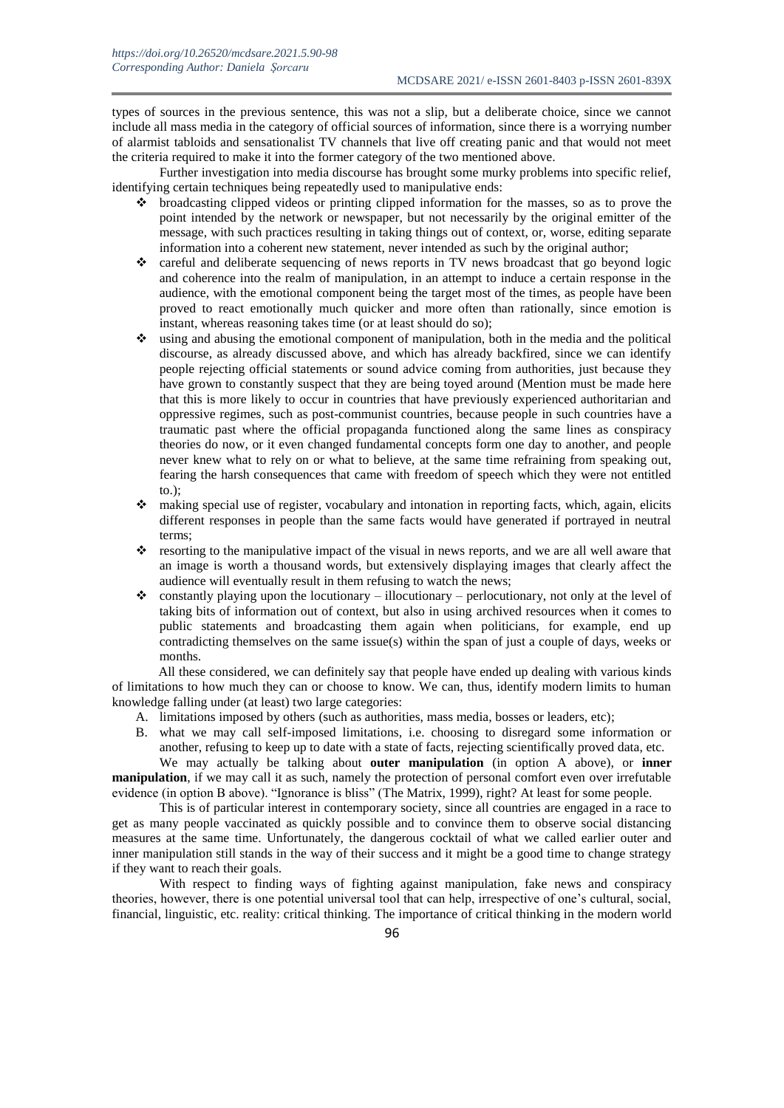types of sources in the previous sentence, this was not a slip, but a deliberate choice, since we cannot include all mass media in the category of official sources of information, since there is a worrying number of alarmist tabloids and sensationalist TV channels that live off creating panic and that would not meet the criteria required to make it into the former category of the two mentioned above.

Further investigation into media discourse has brought some murky problems into specific relief, identifying certain techniques being repeatedly used to manipulative ends:

- $\bullet$  broadcasting clipped videos or printing clipped information for the masses, so as to prove the point intended by the network or newspaper, but not necessarily by the original emitter of the message, with such practices resulting in taking things out of context, or, worse, editing separate information into a coherent new statement, never intended as such by the original author;
- \* careful and deliberate sequencing of news reports in TV news broadcast that go beyond logic and coherence into the realm of manipulation, in an attempt to induce a certain response in the audience, with the emotional component being the target most of the times, as people have been proved to react emotionally much quicker and more often than rationally, since emotion is instant, whereas reasoning takes time (or at least should do so);
- using and abusing the emotional component of manipulation, both in the media and the political discourse, as already discussed above, and which has already backfired, since we can identify people rejecting official statements or sound advice coming from authorities, just because they have grown to constantly suspect that they are being toyed around (Mention must be made here that this is more likely to occur in countries that have previously experienced authoritarian and oppressive regimes, such as post-communist countries, because people in such countries have a traumatic past where the official propaganda functioned along the same lines as conspiracy theories do now, or it even changed fundamental concepts form one day to another, and people never knew what to rely on or what to believe, at the same time refraining from speaking out, fearing the harsh consequences that came with freedom of speech which they were not entitled to.);
- making special use of register, vocabulary and intonation in reporting facts, which, again, elicits different responses in people than the same facts would have generated if portrayed in neutral terms;
- \* resorting to the manipulative impact of the visual in news reports, and we are all well aware that an image is worth a thousand words, but extensively displaying images that clearly affect the audience will eventually result in them refusing to watch the news;
- $\bullet$  constantly playing upon the locutionary illocutionary perlocutionary, not only at the level of taking bits of information out of context, but also in using archived resources when it comes to public statements and broadcasting them again when politicians, for example, end up contradicting themselves on the same issue(s) within the span of just a couple of days, weeks or months.

All these considered, we can definitely say that people have ended up dealing with various kinds of limitations to how much they can or choose to know. We can, thus, identify modern limits to human knowledge falling under (at least) two large categories:

- A. limitations imposed by others (such as authorities, mass media, bosses or leaders, etc);
- B. what we may call self-imposed limitations, i.e. choosing to disregard some information or another, refusing to keep up to date with a state of facts, rejecting scientifically proved data, etc.

We may actually be talking about **outer manipulation** (in option A above), or **inner manipulation**, if we may call it as such, namely the protection of personal comfort even over irrefutable evidence (in option B above). "Ignorance is bliss" (The Matrix, 1999), right? At least for some people.

This is of particular interest in contemporary society, since all countries are engaged in a race to get as many people vaccinated as quickly possible and to convince them to observe social distancing measures at the same time. Unfortunately, the dangerous cocktail of what we called earlier outer and inner manipulation still stands in the way of their success and it might be a good time to change strategy if they want to reach their goals.

With respect to finding ways of fighting against manipulation, fake news and conspiracy theories, however, there is one potential universal tool that can help, irrespective of one's cultural, social, financial, linguistic, etc. reality: critical thinking. The importance of critical thinking in the modern world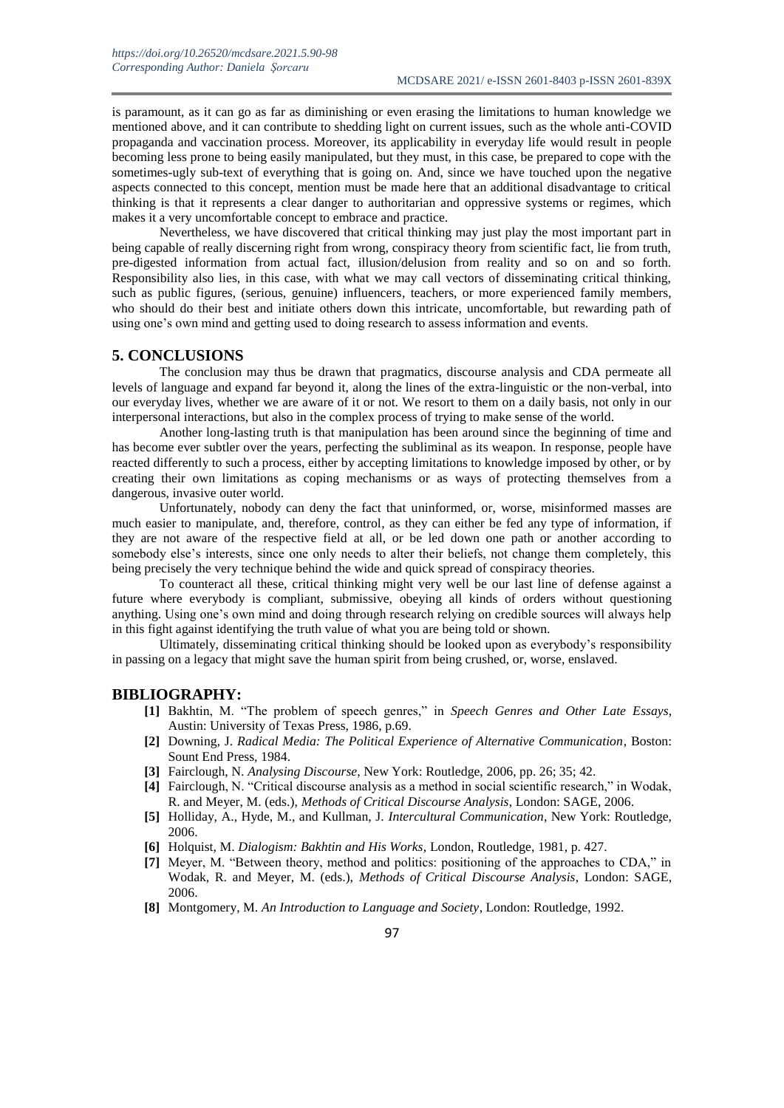is paramount, as it can go as far as diminishing or even erasing the limitations to human knowledge we mentioned above, and it can contribute to shedding light on current issues, such as the whole anti-COVID propaganda and vaccination process. Moreover, its applicability in everyday life would result in people becoming less prone to being easily manipulated, but they must, in this case, be prepared to cope with the sometimes-ugly sub-text of everything that is going on. And, since we have touched upon the negative aspects connected to this concept, mention must be made here that an additional disadvantage to critical thinking is that it represents a clear danger to authoritarian and oppressive systems or regimes, which makes it a very uncomfortable concept to embrace and practice.

Nevertheless, we have discovered that critical thinking may just play the most important part in being capable of really discerning right from wrong, conspiracy theory from scientific fact, lie from truth, pre-digested information from actual fact, illusion/delusion from reality and so on and so forth. Responsibility also lies, in this case, with what we may call vectors of disseminating critical thinking, such as public figures, (serious, genuine) influencers, teachers, or more experienced family members, who should do their best and initiate others down this intricate, uncomfortable, but rewarding path of using one's own mind and getting used to doing research to assess information and events.

#### **5. CONCLUSIONS**

The conclusion may thus be drawn that pragmatics, discourse analysis and CDA permeate all levels of language and expand far beyond it, along the lines of the extra-linguistic or the non-verbal, into our everyday lives, whether we are aware of it or not. We resort to them on a daily basis, not only in our interpersonal interactions, but also in the complex process of trying to make sense of the world.

Another long-lasting truth is that manipulation has been around since the beginning of time and has become ever subtler over the years, perfecting the subliminal as its weapon. In response, people have reacted differently to such a process, either by accepting limitations to knowledge imposed by other, or by creating their own limitations as coping mechanisms or as ways of protecting themselves from a dangerous, invasive outer world.

Unfortunately, nobody can deny the fact that uninformed, or, worse, misinformed masses are much easier to manipulate, and, therefore, control, as they can either be fed any type of information, if they are not aware of the respective field at all, or be led down one path or another according to somebody else's interests, since one only needs to alter their beliefs, not change them completely, this being precisely the very technique behind the wide and quick spread of conspiracy theories.

To counteract all these, critical thinking might very well be our last line of defense against a future where everybody is compliant, submissive, obeying all kinds of orders without questioning anything. Using one's own mind and doing through research relying on credible sources will always help in this fight against identifying the truth value of what you are being told or shown.

Ultimately, disseminating critical thinking should be looked upon as everybody's responsibility in passing on a legacy that might save the human spirit from being crushed, or, worse, enslaved.

#### **BIBLIOGRAPHY:**

- **[1]** Bakhtin, M. "The problem of speech genres," in *Speech Genres and Other Late Essays*, Austin: University of Texas Press, 1986, p.69.
- **[2]** Downing, J. *Radical Media: The Political Experience of Alternative Communication*, Boston: Sount End Press, 1984.
- **[3]** Fairclough, N. *Analysing Discourse*, New York: Routledge, 2006, pp. 26; 35; 42.
- **[4]** Fairclough, N. "Critical discourse analysis as a method in social scientific research," in Wodak, R. and Meyer, M. (eds.), *Methods of Critical Discourse Analysis*, London: SAGE, 2006.
- **[5]** Holliday, A., Hyde, M., and Kullman, J. *Intercultural Communication*, New York: Routledge, 2006.
- **[6]** Holquist, M. *Dialogism: Bakhtin and His Works*, London, Routledge, 1981, p. 427.
- **[7]** Meyer, M. "Between theory, method and politics: positioning of the approaches to CDA," in Wodak, R. and Meyer, M. (eds.), *Methods of Critical Discourse Analysis*, London: SAGE, 2006.
- **[8]** Montgomery, M. *An Introduction to Language and Society*, London: Routledge, 1992.